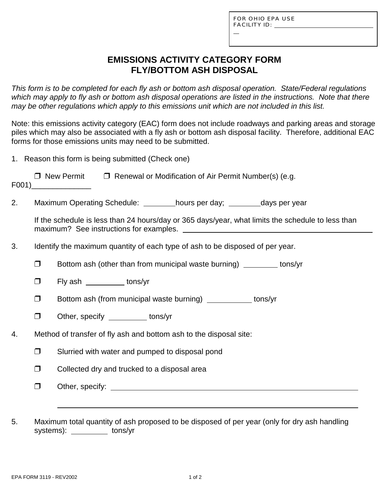L

# **EMISSIONS ACTIVITY CATEGORY FORM FLY/BOTTOM ASH DISPOSAL**

*This form is to be completed for each fly ash or bottom ash disposal operation. State/Federal regulations which may apply to fly ash or bottom ash disposal operations are listed in the instructions. Note that there may be other regulations which apply to this emissions unit which are not included in this list.*

Note: this emissions activity category (EAC) form does not include roadways and parking areas and storage piles which may also be associated with a fly ash or bottom ash disposal facility. Therefore, additional EAC forms for those emissions units may need to be submitted.

|    | 1. Reason this form is being submitted (Check one)                 |                                                                                                   |  |  |  |  |  |  |
|----|--------------------------------------------------------------------|---------------------------------------------------------------------------------------------------|--|--|--|--|--|--|
|    |                                                                    | $\Box$ New Permit $\Box$ Renewal or Modification of Air Permit Number(s) (e.g.<br>$F001)$         |  |  |  |  |  |  |
| 2. |                                                                    | Maximum Operating Schedule: _________hours per day; _________days per year                        |  |  |  |  |  |  |
|    |                                                                    | If the schedule is less than 24 hours/day or 365 days/year, what limits the schedule to less than |  |  |  |  |  |  |
| 3. |                                                                    | Identify the maximum quantity of each type of ash to be disposed of per year.                     |  |  |  |  |  |  |
|    | $\Box$                                                             | Bottom ash (other than from municipal waste burning) _________ tons/yr                            |  |  |  |  |  |  |
|    | $\Box$                                                             | Fly ash tons/yr                                                                                   |  |  |  |  |  |  |
|    | $\Box$                                                             | Bottom ash (from municipal waste burning) ____________ tons/yr                                    |  |  |  |  |  |  |
|    | $\Box$                                                             | Other, specify ___________ tons/yr                                                                |  |  |  |  |  |  |
| 4. | Method of transfer of fly ash and bottom ash to the disposal site: |                                                                                                   |  |  |  |  |  |  |
|    | $\Box$                                                             | Slurried with water and pumped to disposal pond                                                   |  |  |  |  |  |  |
|    | $\Box$                                                             | Collected dry and trucked to a disposal area                                                      |  |  |  |  |  |  |
|    | $\Box$                                                             |                                                                                                   |  |  |  |  |  |  |
|    |                                                                    |                                                                                                   |  |  |  |  |  |  |
| 5. |                                                                    | Maximum total quantity of ash proposed to be disposed of per year (only for dry ash handling      |  |  |  |  |  |  |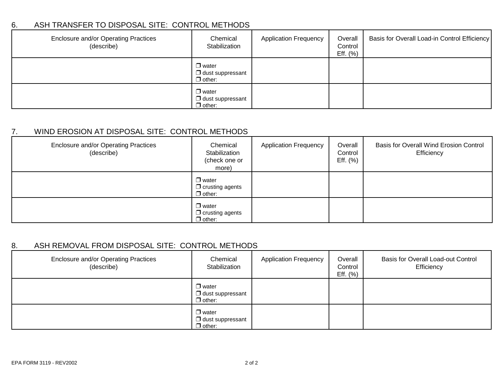### 6. ASH TRANSFER TO DISPOSAL SITE: CONTROL METHODS

| Enclosure and/or Operating Practices<br>(describe) | Chemical<br>Stabilization                                | <b>Application Frequency</b> | Overall<br>Control<br>Eff. $(\% )$ | Basis for Overall Load-in Control Efficiency |
|----------------------------------------------------|----------------------------------------------------------|------------------------------|------------------------------------|----------------------------------------------|
|                                                    | $\Box$ water<br>$\Box$ dust suppressant<br>$\Box$ other: |                              |                                    |                                              |
|                                                    | $\Box$ water<br>$\Box$ dust suppressant<br>$\Box$ other: |                              |                                    |                                              |

### 7. WIND EROSION AT DISPOSAL SITE: CONTROL METHODS

| Enclosure and/or Operating Practices<br>(describe) | Chemical<br>Stabilization<br>(check one or<br>more)     | <b>Application Frequency</b> | Overall<br>Control<br>Eff. $(\%)$ | Basis for Overall Wind Erosion Control<br>Efficiency |
|----------------------------------------------------|---------------------------------------------------------|------------------------------|-----------------------------------|------------------------------------------------------|
|                                                    | $\Box$ water<br>$\Box$ crusting agents<br>$\Box$ other: |                              |                                   |                                                      |
|                                                    | $\Box$ water<br>$\Box$ crusting agents<br>$\Box$ other: |                              |                                   |                                                      |

### 8. ASH REMOVAL FROM DISPOSAL SITE: CONTROL METHODS

| Enclosure and/or Operating Practices<br>(describe) | Chemical<br>Stabilization                                | <b>Application Frequency</b> | Overall<br>Control<br>Eff. $(\% )$ | <b>Basis for Overall Load-out Control</b><br>Efficiency |
|----------------------------------------------------|----------------------------------------------------------|------------------------------|------------------------------------|---------------------------------------------------------|
|                                                    | $\Box$ water<br>$\Box$ dust suppressant<br>$\Box$ other: |                              |                                    |                                                         |
|                                                    | $\Box$ water<br>$\Box$ dust suppressant<br>$\Box$ other: |                              |                                    |                                                         |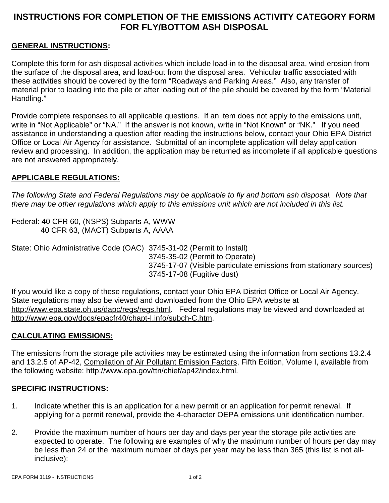# **INSTRUCTIONS FOR COMPLETION OF THE EMISSIONS ACTIVITY CATEGORY FORM FOR FLY/BOTTOM ASH DISPOSAL**

### **GENERAL INSTRUCTIONS:**

Complete this form for ash disposal activities which include load-in to the disposal area, wind erosion from the surface of the disposal area, and load-out from the disposal area. Vehicular traffic associated with these activities should be covered by the form "Roadways and Parking Areas." Also, any transfer of material prior to loading into the pile or after loading out of the pile should be covered by the form "Material Handling."

Provide complete responses to all applicable questions. If an item does not apply to the emissions unit, write in "Not Applicable" or "NA." If the answer is not known, write in "Not Known" or "NK." If you need assistance in understanding a question after reading the instructions below, contact your Ohio EPA District Office or Local Air Agency for assistance. Submittal of an incomplete application will delay application review and processing. In addition, the application may be returned as incomplete if all applicable questions are not answered appropriately.

#### **APPLICABLE REGULATIONS:**

*The following State and Federal Regulations may be applicable to fly and bottom ash disposal. Note that there may be other regulations which apply to this emissions unit which are not included in this list.*

Federal: 40 CFR 60, (NSPS) Subparts A, WWW 40 CFR 63, (MACT) Subparts A, AAAA

State: Ohio Administrative Code (OAC) 3745-31-02 (Permit to Install) 3745-35-02 (Permit to Operate) 3745-17-07 (Visible particulate emissions from stationary sources) 3745-17-08 (Fugitive dust)

If you would like a copy of these regulations, contact your Ohio EPA District Office or Local Air Agency. State regulations may also be viewed and downloaded from the Ohio EPA website at http://www.epa.state.oh.us/dapc/regs/regs.html. Federal regulations may be viewed and downloaded at http://www.epa.gov/docs/epacfr40/chapt-I.info/subch-C.htm.

#### **CALCULATING EMISSIONS:**

The emissions from the storage pile activities may be estimated using the information from sections 13.2.4 and 13.2.5 of AP-42, Compilation of Air Pollutant Emission Factors, Fifth Edition, Volume I, available from the following website: http://www.epa.gov/ttn/chief/ap42/index.html.

#### **SPECIFIC INSTRUCTIONS:**

- 1. Indicate whether this is an application for a new permit or an application for permit renewal. If applying for a permit renewal, provide the 4-character OEPA emissions unit identification number.
- 2. Provide the maximum number of hours per day and days per year the storage pile activities are expected to operate. The following are examples of why the maximum number of hours per day may be less than 24 or the maximum number of days per year may be less than 365 (this list is not allinclusive):